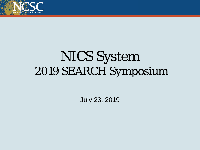

# NICS System *2019 SEARCH Symposium*

July 23, 2019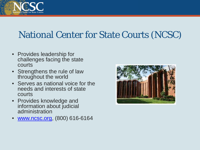

## National Center for State Courts (NCSC)

- Provides leadership for challenges facing the state courts
- Strengthens the rule of law throughout the world
- Serves as national voice for the needs and interests of state courts
- Provides knowledge and information about judicial administration
- [www.ncsc.org](http://www.ncsconline.org/), (800) 616-6164

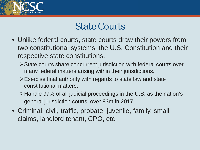

### State Courts

- Unlike federal courts, state courts draw their powers from two constitutional systems: the U.S. Constitution and their respective state constitutions.
	- State courts share concurrent jurisdiction with federal courts over many federal matters arising within their jurisdictions.
	- Exercise final authority with regards to state law and state constitutional matters.
	- Handle 97% of all judicial proceedings in the U.S. as the nation's general jurisdiction courts, over 83m in 2017.
- Criminal, civil, traffic, probate, juvenile, family, small claims, landlord tenant, CPO, etc.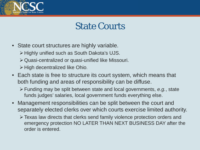

#### State Courts

- State court structures are highly variable.
	- $\triangleright$  Highly unified such as South Dakota's UJS.
	- Quasi-centralized or quasi-unified like Missouri.
	- $\triangleright$  High decentralized like Ohio.
- Each state is free to structure its court system, which means that both funding and areas of responsibility can be diffuse.
	- Funding may be split between state and local governments, *e.g.*, state funds judges' salaries, local government funds everything else.
- Management responsibilities can be split between the court and separately elected clerks over which courts exercise limited authority.
	- Texas law directs that clerks send family violence protection orders and emergency protection NO LATER THAN NEXT BUSINESS DAY after the order is entered.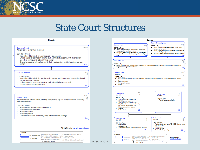

#### State Court Structures

NCSC © 2019



 $A =$  Route of appeal

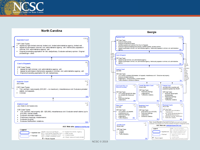

#### **North Carolina COLR Supreme Court** CSP Case Types: . Appeal by right limited criminal, limited civil, limited administrative agency, limited writ. Appeal by permission criminal, civil, administrative agency, writ. Interlocutory appeals in criminal, civil, administrative agency, writ. Original proceeding application for writ, bar/judiciary. Exclusive advisory opinion. Original proceedings - other. **Court of Appeals** CSP Case Types: • Appeal by right criminal, civil, administrative agency, writ. Appeal by permission interlocutory appeals in criminal, civil, administrative agency, writ.  $\bullet$ Original proceeding application for writ, bar/judiciary. **Superior Court** Jury trials CSP Case Types: • Tort, contract, real property (\$10,001 - no maximum), miscellaneous civil. Exclusive probate/ estate, civil appeals. Criminal. **District Court** Jury trials in civil cases only CSP Case Types: • Tort, contract, real property (\$0 - \$25,000), miscellaneous civil. Exclusive small claims (up to \$10,000), mental health. Exclusive domestic relations. Preliminary hearings, misdemeanor. ٠ Exdusive juvenile. Exclusive traffic/other violations.  $\bullet$

#### AOC Web site: www.nccourts.org

link

**IAC** 

A

-S

link

GJC

A

м

link

LJC

link

м





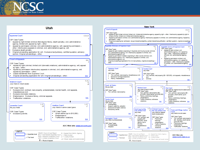

#### Utah Appeal by right limited criminal (first degree felony, death penalty), civil, administrative agency, limited writ, appeal by right - other.

#### Appeal by permission criminal, civil, administrative agency, writ, appeal by permission other. Interlocutory appeals in criminal, civil, administrative agency, writ. Exclusive death penalty.

Original proceeding application for writ. Exclusive bar/iudiciary, certified question, advisory opinion. Original proceedings - other.

#### **Court of Appeals**

Supreme Court

CSP Case Types:

×.

CSP Case Types:

- Appeal by right criminal, limited civil (domestic relations), administrative agency, writ, appeal ٠ by right - other.
- Appeal by permission interlocutory appeals in criminal, civil, administrative agency, writ. Appeal by permission - other.
- $\bullet$ Cases transferred from Supreme Court.
- Original proceeding application for writ. Original proceedings other.

#### **District Court** Jury trials in most cases

CSP Case Types:

- Exclusive tort, contract, real property, probate/estate, mental health, civil appeals, miscellaneous civil.
- Exclusive domestic relations.
- Misdemeanor. Exclusive felony, criminal appeals.  $\bullet$

#### • Traffic/other violations.



#### AOC Web site: www.utcourts.gov

**COLR** 

link

**IAC** 

link

GJC

link

L

Α

м

S



#### **New York Court of Appeals** COLR CSP Case Types: Appeal by right limited criminal, limited civil, limited administrative agency, appeal by right - other. Interlocutory appeals by right in limited criminal, limited civil, limited administrative agency. Appeal by permission criminal, civil, administrative agency, Interlocutory appeals in criminal, civil, administrative agency. Appeal by permission - other. Original proceeding bar admission, lawyer discipline/eligibility, judicial discipline/qualification, certified question, original proceedings  $-$  other. **Appellate Divisions of Supreme Cour** IA C IA<sub>C</sub> **Appellate Terms of Supreme Court** CSP Case Types: CSP Case Types: Appeal by right criminal, civil, Appeal by right (matters originating in Supreme and County courts) criminal, administrative agency, writ, appeal by civil, administrative agency, writ. Interlocutory appeals in criminal, civil, right - other. Interlocutory appeals in administrative agency, writ. criminal, civil, administrative agency, Appeal by permission (matters originating in other courts) criminal, civil, writ administrative agency, writ. Interlocutory appeals in criminal, civil, Appeal by permission criminal, civil, administrative agency, writ. administrative agency, writ, appeal by Original proceedings application for writ, bar/judiciary, original proceedings permission - other. Interlocutory appeals permasion = one content of a criminal permission = other. link writ **Supreme Court** GJC GJC **County Court Jury trials** Jury trials CSP Case Types: CSP Case Types: Tort, contract, real property, miscellaneous civil  $\bullet$ Tort, contract, real property (\$0 - \$25,000), civil appeals, miscellaneous Exclusive marriage dissolution. civil. Felony, misdemeanor. Criminal link link LJC **Court of Claims** No jury trials LJC LJC **District Court City Court** Jury trials except in traffic Jury trials for highest level misdemeanor CSP Case Types: CSP Case Types: CSP Case Types: Tort, contract, real property. Tort, contract, real property (\$0 -Tort, contract, real property (\$0 -\$15,000), small claims (up to \$5,000) \$15,000), small claims (up to Felony, preliminary hearings, link \$5,000 misdemeanor. Felony, preliminary hearings, **Family Court** Traffic infractions, ordinance LJC misdemeanor No jury trials violations Traffic infractions, ordinance link link CSP Case Types: violations. · Guardianship. Support, paternity, adoption. Exclusive domestic violence. Criminal Court of LJC  $L_{\rm J}$ Civil Court of the Exclusive juvenile. Town and Village Justice M the City of New York S **City of New York** Court Jury trials Jury trials for highest Jury trials in most cases <u>link</u> level misdemeanor CSP Case Types: CSP Case Types: CSP Case Types: Tort, contract, real Surrogates' Court LJC Tort, contract, real property Preliminary property (\$0 -Jury trials in probate/estate (\$0 - \$3,000), small claims \$25,000), small hearings, (up to \$3,000) daims, (up to misdemeanor. CSP Case Types: Preliminary hearings, \$5,000). Traffic infractions. misdemeanor. Probate/estate. miscellaneous ordinance Adoption. link dvil. violations. link link Legend COLR = Court of Last Resort A = Appeal from Admin. Agency Appelate level **AOC Web site:** IAC = Intermediate Appellate Court  $S =$  State funded  $GJC = General Jurisdefinition Count$   $Q = Locally funded$ www.courts.state.ny.us **Trial level** LJC = Limited Jurisdiction Court  $M$  = Mixed: state and locally funded  $A =$  Route of appeal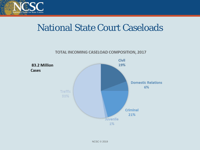

### National State Court Caseloads

TOTAL INCOMING CASELOAD COMPOSITION, 2017

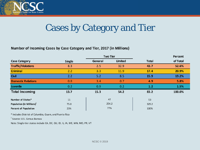

## Cases by Category and Tier

#### Number of Incoming Cases by Case Category and Tier, 2017 (in Millions)

|                                       |               | <b>Two Tier</b> |         |              | Percent  |
|---------------------------------------|---------------|-----------------|---------|--------------|----------|
| <b>Case Category</b>                  | <b>Single</b> | General         | Limited | <b>Total</b> | of Total |
| <b>Traffic/Violations</b>             | 8.3           | 2.5             | 32.9    | 43.7         | 52.6%    |
| <b>Criminal</b>                       | 2.2           | 3.3             | 11.9    | 17.4         | 20.9%    |
| <b>Civil</b>                          | 2.2           | 5.2             | 8.5     | 15.9         | 19.2%    |
| <b>Domestic Relations</b>             | 0.8           | 3.4             | 0.7     | 4.9          | 5.8%     |
| <b>Juvenile</b>                       | 0.2           | 0.9             | 0.2     | 1.2          | 1.5%     |
| <b>Total Incoming</b>                 | 13.7          | 15.3            | 54.2    | 83.2         | 100.0%   |
|                                       |               |                 |         |              |          |
| Number of States*                     | 11            | 42              |         | 53           |          |
| Population (in Millions) <sup>1</sup> | 75.0          | 254.2           |         | 329.2        |          |
| Percent of Population                 | 23%           | 77%             |         | 100%         |          |

\* Includes District of Columbia, Guam, and Puerto Rico

<sup>1</sup> Source: U.S. Census Bureau

Note: Single-tier states include CA, DC, GU, ID, IL, IA, ME, MN, MO, PR, VT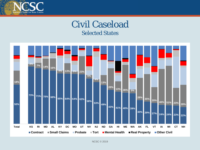

#### Civil Caseload Selected States

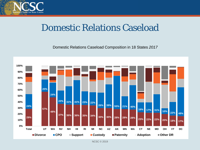

### Domestic Relations Caseload

Domestic Relations Caseload Composition in 18 States *2017*

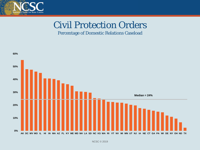

## Civil Protection Orders

#### Percentage of Domestic Relations Caseload

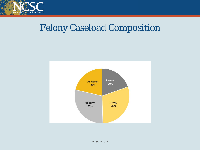

### Felony Caseload Composition

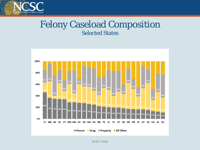

#### Felony Caseload Composition Selected States

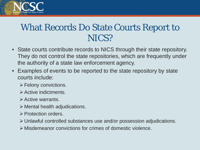

### What Records Do State Courts Report to NICS?

- State courts contribute records to NICS through their state repository. They do not control the state repositories, which are frequently under the authority of a state law enforcement agency.
- Examples of events to be reported to the state repository by state courts include:
	- $\triangleright$  Felony convictions.
	- $\triangleright$  Active indictments.
	- $\triangleright$  Active warrants.
	- $\triangleright$  Mental health adjudications.
	- **≻ Protection orders.**
	- Unlawful controlled substances use and/or possession adjudications.
	- Misdemeanor convictions for crimes of domestic violence.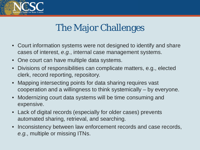

## The Major Challenges

- Court information systems were not designed to identify and share cases of interest, *e.g.*, internal case management systems.
- One court can have multiple data systems.
- Divisions of responsibilities can complicate matters, e.g., elected clerk, record reporting, repository.
- Mapping intersecting points for data sharing requires vast cooperation and a willingness to think systemically – by everyone.
- Modernizing court data systems will be time consuming and expensive.
- Lack of digital records (especially for older cases) prevents automated sharing, retrieval, and searching.
- Inconsistency between law enforcement records and case records, *e.g.*, multiple or missing ITNs.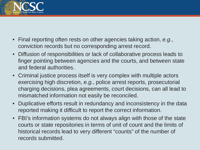

- Final reporting often rests on other agencies taking action, *e.g.*, conviction records but no corresponding arrest record.
- Diffusion of responsibilities or lack of collaborative process leads to finger pointing between agencies and the courts, and between state and federal authorities.
- Criminal justice process itself is very complex with multiple actors exercising high discretion, *e.g.*, police arrest reports, prosecutorial charging decisions, plea agreements, court decisions, can all lead to mismatched information not easily be reconciled.
- Duplicative efforts result in redundancy and inconsistency in the data reported making it difficult to report the correct information.
- FBI's information systems do not always align with those of the state courts or state repositories in terms of unit of count and the limits of historical records lead to very different "counts" of the number of records submitted.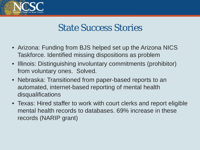

### State Success Stories

- Arizona: Funding from BJS helped set up the Arizona NICS Taskforce. Identified missing dispositions as problem
- Illinois: Distinguishing involuntary commitments (prohibitor) from voluntary ones. Solved.
- Nebraska: Transitioned from paper-based reports to an automated, internet-based reporting of mental health disqualifications
- Texas: Hired staffer to work with court clerks and report eligible mental health records to databases. 69% increase in these records (NARIP grant)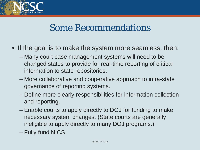

### Some Recommendations

- If the goal is to make the system more seamless, then:
	- Many court case management systems will need to be changed states to provide for real-time reporting of critical information to state repositories.
	- More collaborative and cooperative approach to intra-state governance of reporting systems.
	- Define more clearly responsibilities for information collection and reporting.
	- Enable courts to apply directly to DOJ for funding to make necessary system changes. (State courts are generally ineligible to apply directly to many DOJ programs.)
	- Fully fund NICS.